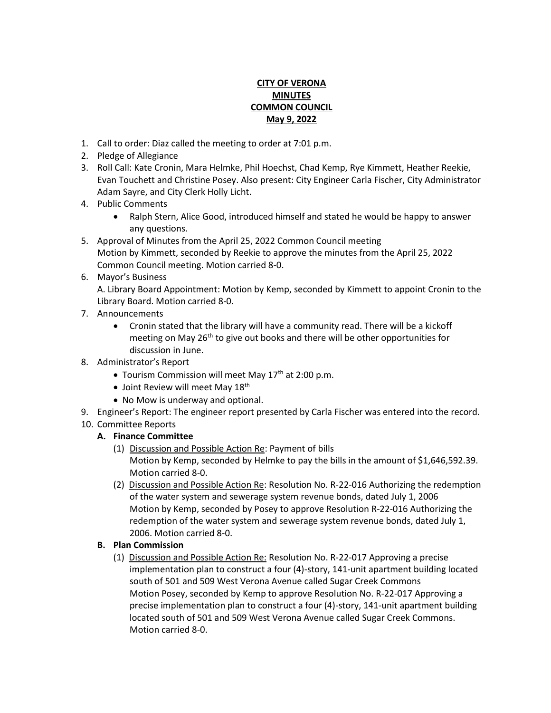## **CITY OF VERONA MINUTES COMMON COUNCIL May 9, 2022**

- 1. Call to order: Diaz called the meeting to order at 7:01 p.m.
- 2. Pledge of Allegiance
- 3. Roll Call: Kate Cronin, Mara Helmke, Phil Hoechst, Chad Kemp, Rye Kimmett, Heather Reekie, Evan Touchett and Christine Posey. Also present: City Engineer Carla Fischer, City Administrator Adam Sayre, and City Clerk Holly Licht.
- 4. Public Comments
	- Ralph Stern, Alice Good, introduced himself and stated he would be happy to answer any questions.
- 5. Approval of Minutes from the April 25, 2022 Common Council meeting Motion by Kimmett, seconded by Reekie to approve the minutes from the April 25, 2022 Common Council meeting. Motion carried 8-0.
- 6. Mayor's Business

A. Library Board Appointment: Motion by Kemp, seconded by Kimmett to appoint Cronin to the Library Board. Motion carried 8-0.

- 7. Announcements
	- Cronin stated that the library will have a community read. There will be a kickoff meeting on May 26<sup>th</sup> to give out books and there will be other opportunities for discussion in June.
- 8. Administrator's Report
	- Tourism Commission will meet May  $17<sup>th</sup>$  at 2:00 p.m.
	- $\bullet$  Joint Review will meet May  $18^{\text{th}}$
	- No Mow is underway and optional.
- 9. Engineer's Report: The engineer report presented by Carla Fischer was entered into the record.
- 10. Committee Reports

# **A. Finance Committee**

- (1) Discussion and Possible Action Re: Payment of bills Motion by Kemp, seconded by Helmke to pay the bills in the amount of \$1,646,592.39. Motion carried 8-0.
- (2) Discussion and Possible Action Re: Resolution No. R-22-016 Authorizing the redemption of the water system and sewerage system revenue bonds, dated July 1, 2006 Motion by Kemp, seconded by Posey to approve Resolution R-22-016 Authorizing the redemption of the water system and sewerage system revenue bonds, dated July 1, 2006. Motion carried 8-0.

#### **B. Plan Commission**

(1) Discussion and Possible Action Re: Resolution No. R-22-017 Approving a precise implementation plan to construct a four (4)-story, 141-unit apartment building located south of 501 and 509 West Verona Avenue called Sugar Creek Commons Motion Posey, seconded by Kemp to approve Resolution No. R-22-017 Approving a precise implementation plan to construct a four (4)-story, 141-unit apartment building located south of 501 and 509 West Verona Avenue called Sugar Creek Commons. Motion carried 8-0.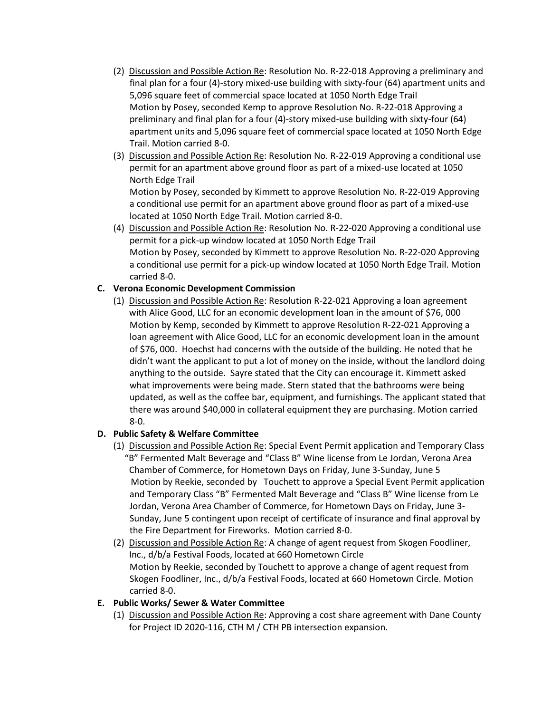- (2) Discussion and Possible Action Re: Resolution No. R-22-018 Approving a preliminary and final plan for a four (4)-story mixed-use building with sixty-four (64) apartment units and 5,096 square feet of commercial space located at 1050 North Edge Trail Motion by Posey, seconded Kemp to approve Resolution No. R-22-018 Approving a preliminary and final plan for a four (4)-story mixed-use building with sixty-four (64) apartment units and 5,096 square feet of commercial space located at 1050 North Edge Trail. Motion carried 8-0.
- (3) Discussion and Possible Action Re: Resolution No. R-22-019 Approving a conditional use permit for an apartment above ground floor as part of a mixed-use located at 1050 North Edge Trail

Motion by Posey, seconded by Kimmett to approve Resolution No. R-22-019 Approving a conditional use permit for an apartment above ground floor as part of a mixed-use located at 1050 North Edge Trail. Motion carried 8-0.

(4) Discussion and Possible Action Re: Resolution No. R-22-020 Approving a conditional use permit for a pick-up window located at 1050 North Edge Trail Motion by Posey, seconded by Kimmett to approve Resolution No. R-22-020 Approving a conditional use permit for a pick-up window located at 1050 North Edge Trail. Motion carried 8-0.

#### **C. Verona Economic Development Commission**

(1) Discussion and Possible Action Re: Resolution R-22-021 Approving a loan agreement with Alice Good, LLC for an economic development loan in the amount of \$76, 000 Motion by Kemp, seconded by Kimmett to approve Resolution R-22-021 Approving a loan agreement with Alice Good, LLC for an economic development loan in the amount of \$76, 000. Hoechst had concerns with the outside of the building. He noted that he didn't want the applicant to put a lot of money on the inside, without the landlord doing anything to the outside. Sayre stated that the City can encourage it. Kimmett asked what improvements were being made. Stern stated that the bathrooms were being updated, as well as the coffee bar, equipment, and furnishings. The applicant stated that there was around \$40,000 in collateral equipment they are purchasing. Motion carried 8-0.

#### **D. Public Safety & Welfare Committee**

- (1) Discussion and Possible Action Re: Special Event Permit application and Temporary Class "B" Fermented Malt Beverage and "Class B" Wine license from Le Jordan, Verona Area Chamber of Commerce, for Hometown Days on Friday, June 3-Sunday, June 5 Motion by Reekie, seconded by Touchett to approve a Special Event Permit application and Temporary Class "B" Fermented Malt Beverage and "Class B" Wine license from Le Jordan, Verona Area Chamber of Commerce, for Hometown Days on Friday, June 3- Sunday, June 5 contingent upon receipt of certificate of insurance and final approval by the Fire Department for Fireworks. Motion carried 8-0.
- (2) Discussion and Possible Action Re: A change of agent request from Skogen Foodliner, Inc., d/b/a Festival Foods, located at 660 Hometown Circle Motion by Reekie, seconded by Touchett to approve a change of agent request from Skogen Foodliner, Inc., d/b/a Festival Foods, located at 660 Hometown Circle. Motion carried 8-0.

#### **E. Public Works/ Sewer & Water Committee**

(1) Discussion and Possible Action Re: Approving a cost share agreement with Dane County for Project ID 2020-116, CTH M / CTH PB intersection expansion.